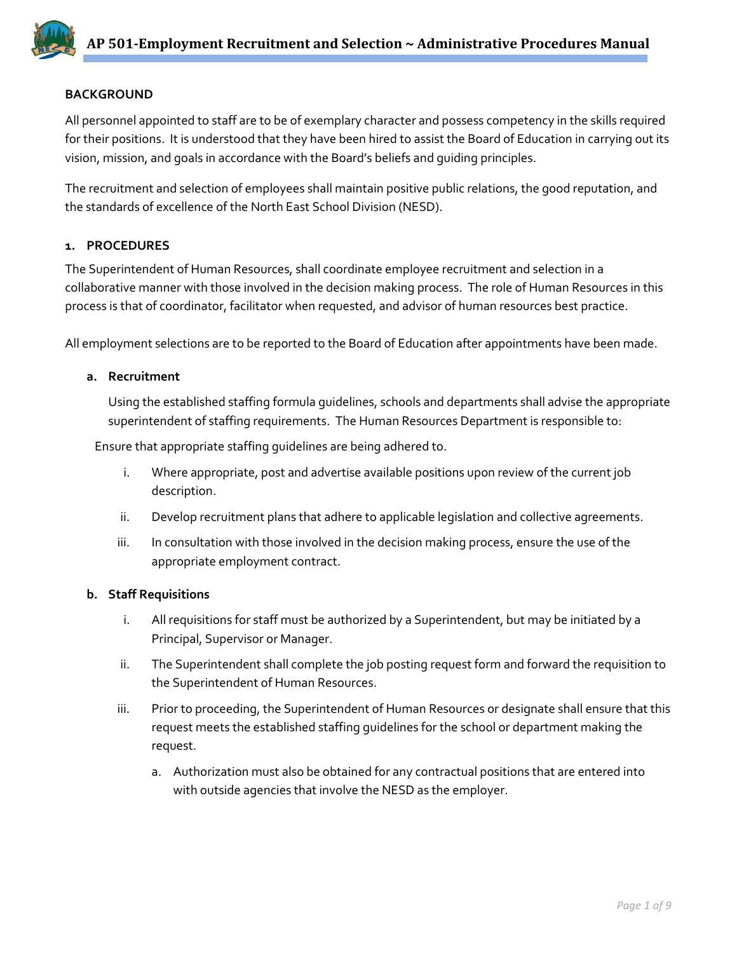## **BACKGROUND**

All personnel appointed to staff are to be of exemplary character and possess competency in the skills required for their positions. It is understood that they have been hired to assist the Board of Education in carrying out its vision, mission, and goals in accordance with the Board's beliefs and guiding principles.

The recruitment and selection of employees shall maintain positive public relations, the good reputation, and the standards of excellence of the North East School Division (NESD).

# **1. PROCEDURES**

The Superintendent of Human Resources, shall coordinate employee recruitment and selection in a collaborative manner with those involved in the decision making process. The role of Human Resources in this process is that of coordinator, facilitator when requested, and advisor of human resources best practice.

All employment selections are to be reported to the Board of Education after appointments have been made.

### **a. Recruitment**

Using the established staffing formula guidelines, schools and departments shall advise the appropriate superintendent of staffing requirements. The Human Resources Department is responsible to:

Ensure that appropriate staffing guidelines are being adhered to.

- i. Where appropriate, post and advertise available positions upon review of the current job description.
- ii. Develop recruitment plans that adhere to applicable legislation and collective agreements.
- iii. In consultation with those involved in the decision making process, ensure the use of the appropriate employment contract.

### **b. Staff Requisitions**

- i. All requisitions for staff must be authorized by a Superintendent, but may be initiated by a Principal, Supervisor or Manager.
- ii. The Superintendent shall complete the job posting request form and forward the requisition to the Superintendent of Human Resources.
- iii. Prior to proceeding, the Superintendent of Human Resources or designate shall ensure that this request meets the established staffing guidelines for the school or department making the request.
	- a. Authorization must also be obtained for any contractual positions that are entered into with outside agencies that involve the NESD as the employer.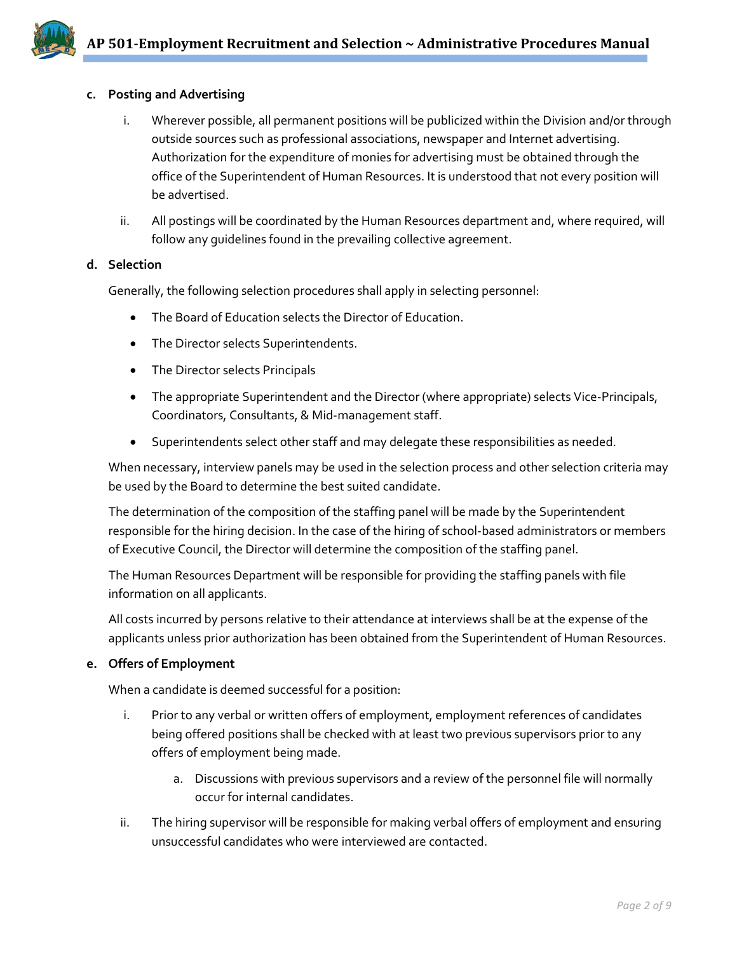

### **c. Posting and Advertising**

- i. Wherever possible, all permanent positions will be publicized within the Division and/or through outside sources such as professional associations, newspaper and Internet advertising. Authorization for the expenditure of monies for advertising must be obtained through the office of the Superintendent of Human Resources. It is understood that not every position will be advertised.
- ii. All postings will be coordinated by the Human Resources department and, where required, will follow any guidelines found in the prevailing collective agreement.

### **d. Selection**

Generally, the following selection procedures shall apply in selecting personnel:

- The Board of Education selects the Director of Education.
- The Director selects Superintendents.
- The Director selects Principals
- The appropriate Superintendent and the Director (where appropriate) selects Vice-Principals, Coordinators, Consultants, & Mid-management staff.
- Superintendents select other staff and may delegate these responsibilities as needed.

When necessary, interview panels may be used in the selection process and other selection criteria may be used by the Board to determine the best suited candidate.

The determination of the composition of the staffing panel will be made by the Superintendent responsible for the hiring decision. In the case of the hiring of school-based administrators or members of Executive Council, the Director will determine the composition of the staffing panel.

The Human Resources Department will be responsible for providing the staffing panels with file information on all applicants.

All costs incurred by persons relative to their attendance at interviews shall be at the expense of the applicants unless prior authorization has been obtained from the Superintendent of Human Resources.

#### **e. Offers of Employment**

When a candidate is deemed successful for a position:

- i. Prior to any verbal or written offers of employment, employment references of candidates being offered positions shall be checked with at least two previous supervisors prior to any offers of employment being made.
	- a. Discussions with previous supervisors and a review of the personnel file will normally occur for internal candidates.
- ii. The hiring supervisor will be responsible for making verbal offers of employment and ensuring unsuccessful candidates who were interviewed are contacted.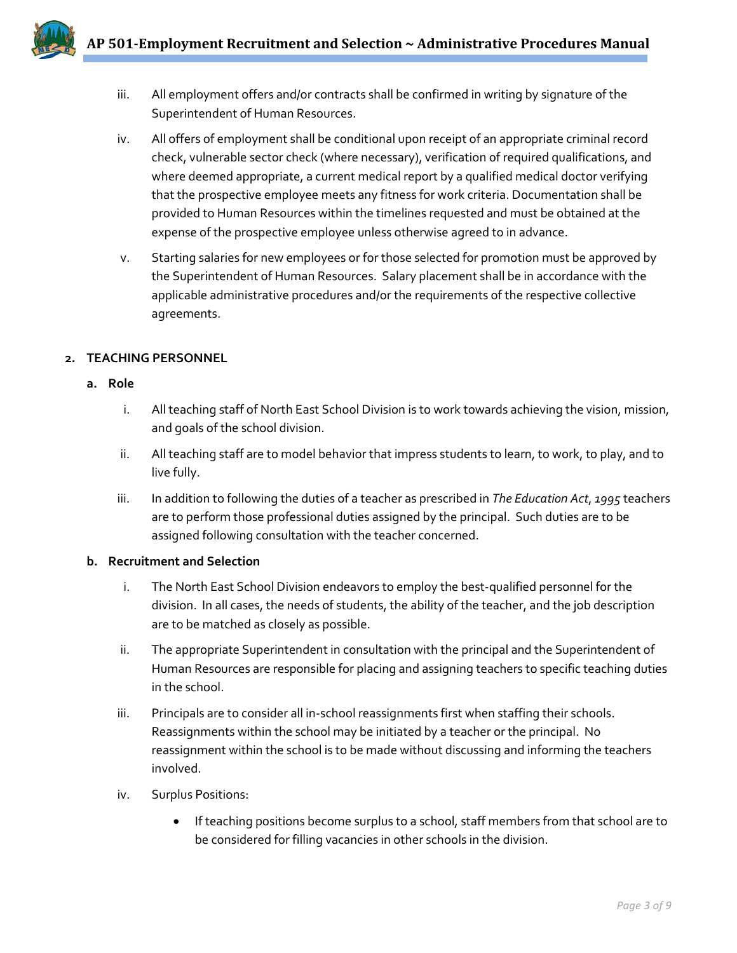- 
- iii. All employment offers and/or contracts shall be confirmed in writing by signature of the Superintendent of Human Resources.
- iv. All offers of employment shall be conditional upon receipt of an appropriate criminal record check, vulnerable sector check (where necessary), verification of required qualifications, and where deemed appropriate, a current medical report by a qualified medical doctor verifying that the prospective employee meets any fitness for work criteria. Documentation shall be provided to Human Resources within the timelines requested and must be obtained at the expense of the prospective employee unless otherwise agreed to in advance.
- v. Starting salaries for new employees or for those selected for promotion must be approved by the Superintendent of Human Resources. Salary placement shall be in accordance with the applicable administrative procedures and/or the requirements of the respective collective agreements.

# **2. TEACHING PERSONNEL**

- **a. Role**
	- i. All teaching staff of North East School Division is to work towards achieving the vision, mission, and goals of the school division.
	- ii. All teaching staff are to model behavior that impress students to learn, to work, to play, and to live fully.
	- iii. In addition to following the duties of a teacher as prescribed in *The Education Act*, *1995* teachers are to perform those professional duties assigned by the principal. Such duties are to be assigned following consultation with the teacher concerned.

# **b. Recruitment and Selection**

- i. The North East School Division endeavors to employ the best-qualified personnel for the division. In all cases, the needs of students, the ability of the teacher, and the job description are to be matched as closely as possible.
- ii. The appropriate Superintendent in consultation with the principal and the Superintendent of Human Resources are responsible for placing and assigning teachers to specific teaching duties in the school.
- iii. Principals are to consider all in-school reassignments first when staffing their schools. Reassignments within the school may be initiated by a teacher or the principal. No reassignment within the school is to be made without discussing and informing the teachers involved.
- iv. Surplus Positions:
	- If teaching positions become surplus to a school, staff members from that school are to be considered for filling vacancies in other schools in the division.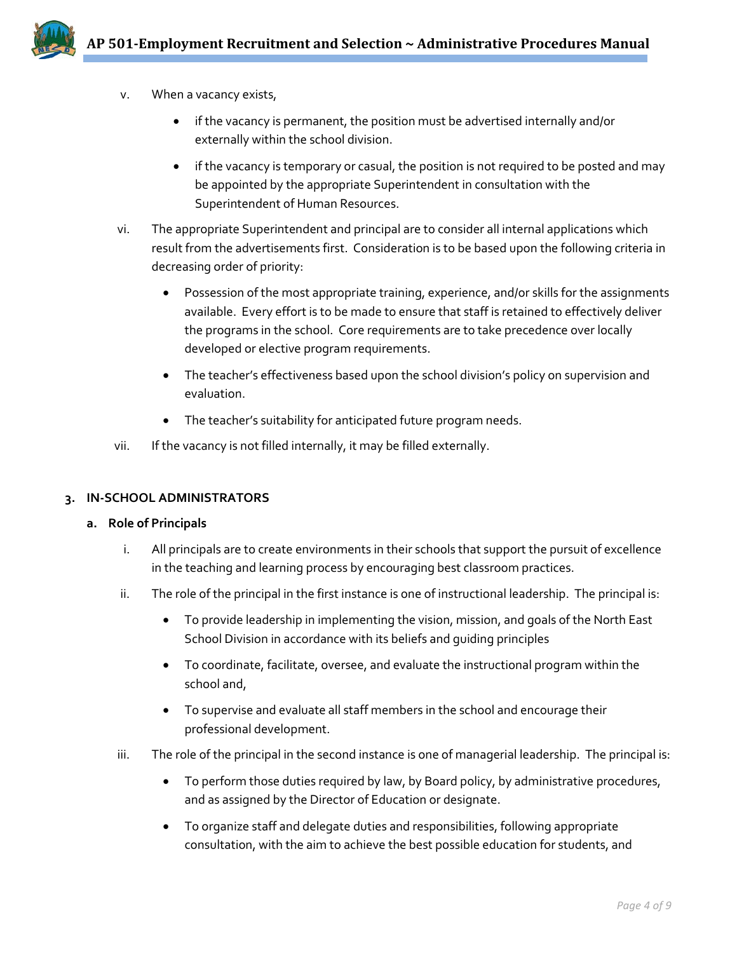

- v. When a vacancy exists,
	- if the vacancy is permanent, the position must be advertised internally and/or externally within the school division.
	- if the vacancy is temporary or casual, the position is not required to be posted and may be appointed by the appropriate Superintendent in consultation with the Superintendent of Human Resources.
- vi. The appropriate Superintendent and principal are to consider all internal applications which result from the advertisements first. Consideration is to be based upon the following criteria in decreasing order of priority:
	- Possession of the most appropriate training, experience, and/or skills for the assignments available. Every effort is to be made to ensure that staff is retained to effectively deliver the programs in the school. Core requirements are to take precedence over locally developed or elective program requirements.
	- The teacher's effectiveness based upon the school division's policy on supervision and evaluation.
	- The teacher's suitability for anticipated future program needs.
- vii. If the vacancy is not filled internally, it may be filled externally.

### **3. IN-SCHOOL ADMINISTRATORS**

### **a. Role of Principals**

- i. All principals are to create environments in their schools that support the pursuit of excellence in the teaching and learning process by encouraging best classroom practices.
- ii. The role of the principal in the first instance is one of instructional leadership. The principal is:
	- To provide leadership in implementing the vision, mission, and goals of the North East School Division in accordance with its beliefs and guiding principles
	- To coordinate, facilitate, oversee, and evaluate the instructional program within the school and,
	- To supervise and evaluate all staff members in the school and encourage their professional development.
- iii. The role of the principal in the second instance is one of managerial leadership. The principal is:
	- To perform those duties required by law, by Board policy, by administrative procedures, and as assigned by the Director of Education or designate.
	- To organize staff and delegate duties and responsibilities, following appropriate consultation, with the aim to achieve the best possible education for students, and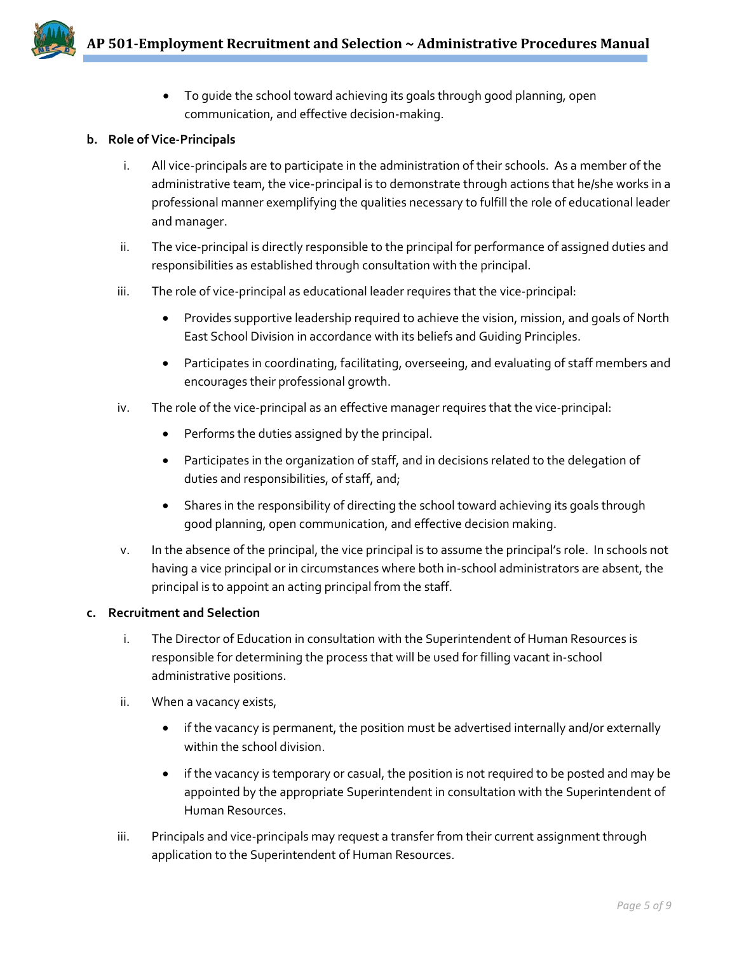

• To guide the school toward achieving its goals through good planning, open communication, and effective decision-making.

## **b. Role of Vice-Principals**

- i. All vice-principals are to participate in the administration of their schools. As a member of the administrative team, the vice-principal is to demonstrate through actions that he/she works in a professional manner exemplifying the qualities necessary to fulfill the role of educational leader and manager.
- ii. The vice-principal is directly responsible to the principal for performance of assigned duties and responsibilities as established through consultation with the principal.
- iii. The role of vice-principal as educational leader requires that the vice-principal:
	- Provides supportive leadership required to achieve the vision, mission, and goals of North East School Division in accordance with its beliefs and Guiding Principles.
	- Participates in coordinating, facilitating, overseeing, and evaluating of staff members and encourages their professional growth.
- iv. The role of the vice-principal as an effective manager requires that the vice-principal:
	- Performs the duties assigned by the principal.
	- Participates in the organization of staff, and in decisions related to the delegation of duties and responsibilities, of staff, and;
	- Shares in the responsibility of directing the school toward achieving its goals through good planning, open communication, and effective decision making.
- v. In the absence of the principal, the vice principal is to assume the principal's role. In schools not having a vice principal or in circumstances where both in-school administrators are absent, the principal is to appoint an acting principal from the staff.

### **c. Recruitment and Selection**

- i. The Director of Education in consultation with the Superintendent of Human Resources is responsible for determining the process that will be used for filling vacant in-school administrative positions.
- ii. When a vacancy exists,
	- if the vacancy is permanent, the position must be advertised internally and/or externally within the school division.
	- if the vacancy is temporary or casual, the position is not required to be posted and may be appointed by the appropriate Superintendent in consultation with the Superintendent of Human Resources.
- iii. Principals and vice-principals may request a transfer from their current assignment through application to the Superintendent of Human Resources.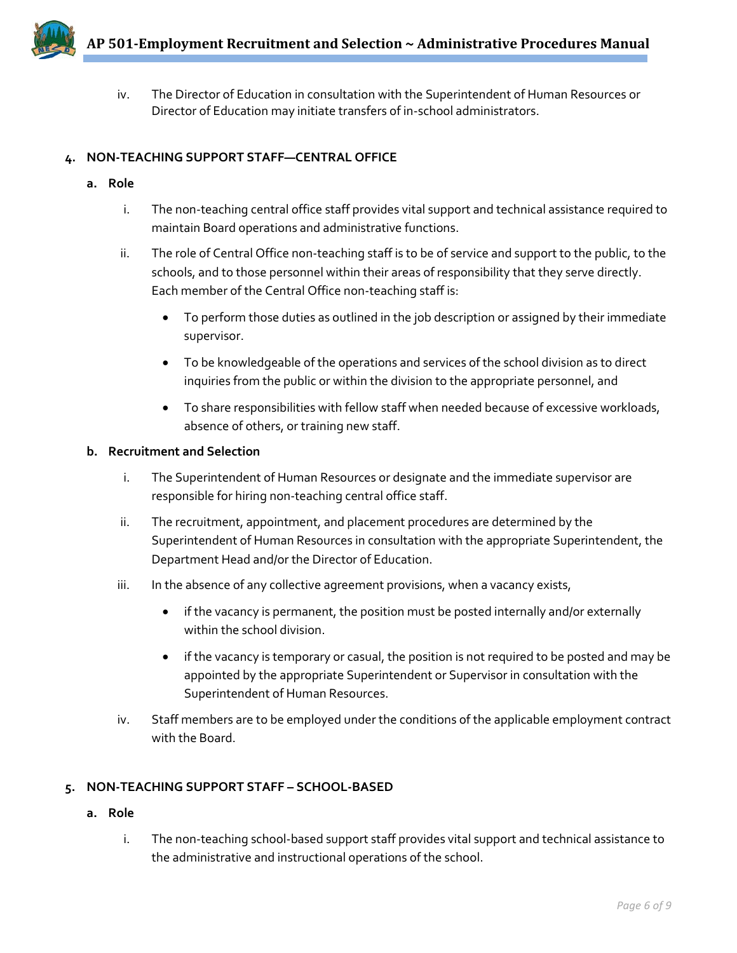iv. The Director of Education in consultation with the Superintendent of Human Resources or Director of Education may initiate transfers of in-school administrators.

# **4. NON-TEACHING SUPPORT STAFF—CENTRAL OFFICE**

- **a. Role** 
	- i. The non-teaching central office staff provides vital support and technical assistance required to maintain Board operations and administrative functions.
	- ii. The role of Central Office non-teaching staff is to be of service and support to the public, to the schools, and to those personnel within their areas of responsibility that they serve directly. Each member of the Central Office non-teaching staff is:
		- To perform those duties as outlined in the job description or assigned by their immediate supervisor.
		- To be knowledgeable of the operations and services of the school division as to direct inquiries from the public or within the division to the appropriate personnel, and
		- To share responsibilities with fellow staff when needed because of excessive workloads, absence of others, or training new staff.

### **b. Recruitment and Selection**

- i. The Superintendent of Human Resources or designate and the immediate supervisor are responsible for hiring non-teaching central office staff.
- ii. The recruitment, appointment, and placement procedures are determined by the Superintendent of Human Resources in consultation with the appropriate Superintendent, the Department Head and/or the Director of Education.
- iii. In the absence of any collective agreement provisions, when a vacancy exists,
	- if the vacancy is permanent, the position must be posted internally and/or externally within the school division.
	- if the vacancy is temporary or casual, the position is not required to be posted and may be appointed by the appropriate Superintendent or Supervisor in consultation with the Superintendent of Human Resources.
- iv. Staff members are to be employed under the conditions of the applicable employment contract with the Board.

# **5. NON-TEACHING SUPPORT STAFF – SCHOOL-BASED**

- **a. Role**
	- i. The non-teaching school-based support staff provides vital support and technical assistance to the administrative and instructional operations of the school.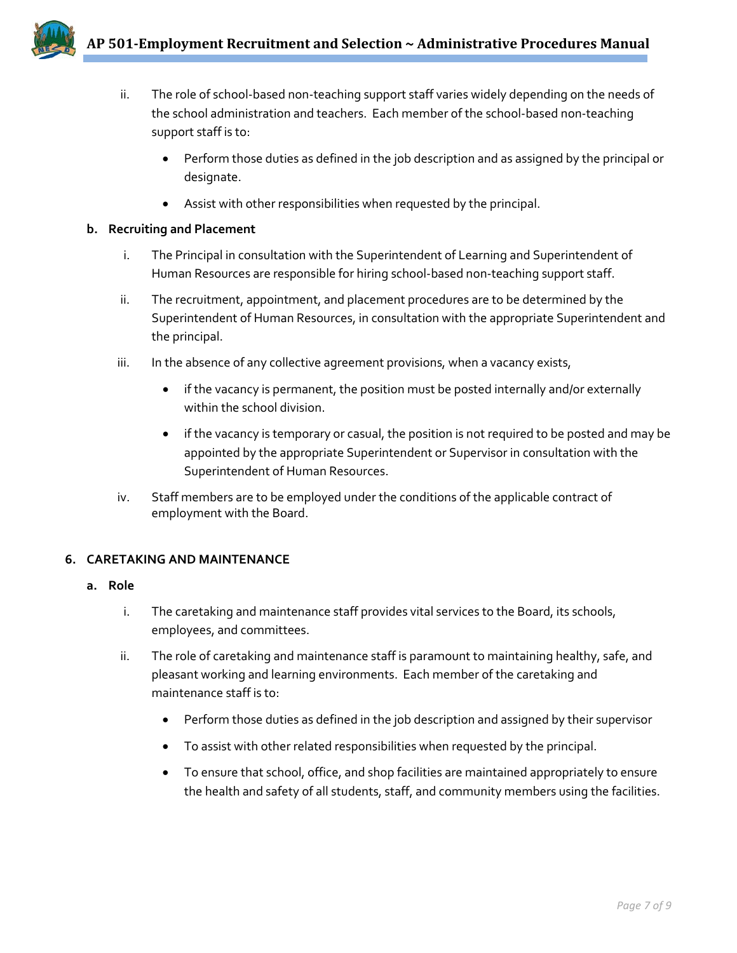- 
- ii. The role of school-based non-teaching support staff varies widely depending on the needs of the school administration and teachers. Each member of the school-based non-teaching support staff is to:
	- Perform those duties as defined in the job description and as assigned by the principal or designate.
	- Assist with other responsibilities when requested by the principal.

# **b. Recruiting and Placement**

- i. The Principal in consultation with the Superintendent of Learning and Superintendent of Human Resources are responsible for hiring school-based non-teaching support staff.
- ii. The recruitment, appointment, and placement procedures are to be determined by the Superintendent of Human Resources, in consultation with the appropriate Superintendent and the principal.
- iii. In the absence of any collective agreement provisions, when a vacancy exists,
	- if the vacancy is permanent, the position must be posted internally and/or externally within the school division.
	- if the vacancy is temporary or casual, the position is not required to be posted and may be appointed by the appropriate Superintendent or Supervisor in consultation with the Superintendent of Human Resources.
- iv. Staff members are to be employed under the conditions of the applicable contract of employment with the Board.

# **6. CARETAKING AND MAINTENANCE**

# **a. Role**

- i. The caretaking and maintenance staff provides vital services to the Board, its schools, employees, and committees.
- ii. The role of caretaking and maintenance staff is paramount to maintaining healthy, safe, and pleasant working and learning environments. Each member of the caretaking and maintenance staff is to:
	- Perform those duties as defined in the job description and assigned by their supervisor
	- To assist with other related responsibilities when requested by the principal.
	- To ensure that school, office, and shop facilities are maintained appropriately to ensure the health and safety of all students, staff, and community members using the facilities.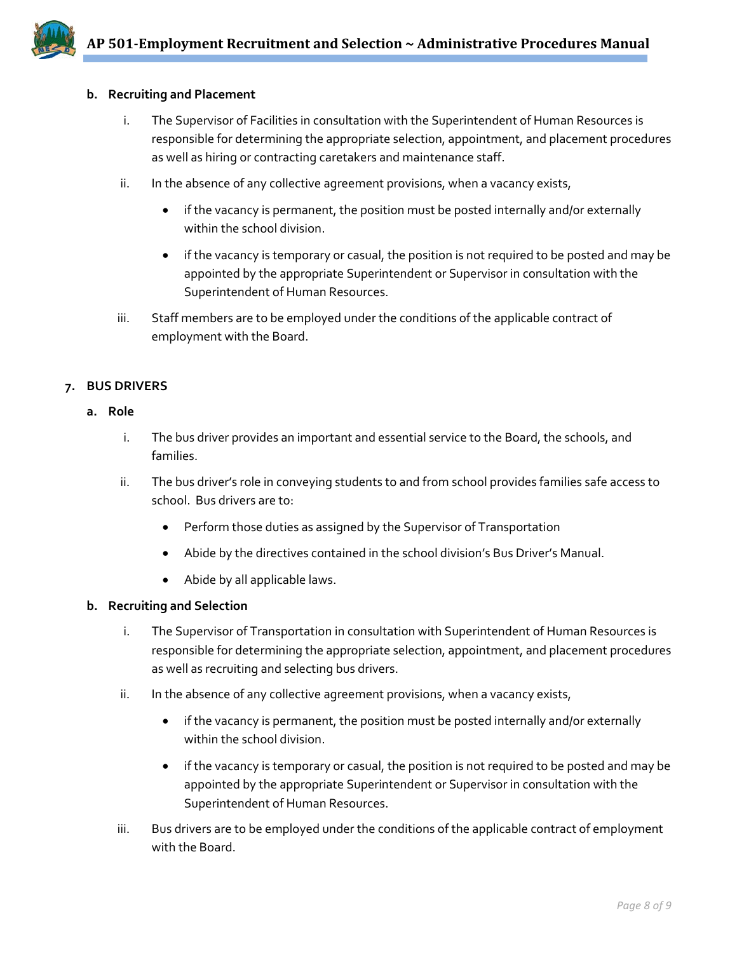

#### **b. Recruiting and Placement**

- i. The Supervisor of Facilities in consultation with the Superintendent of Human Resources is responsible for determining the appropriate selection, appointment, and placement procedures as well as hiring or contracting caretakers and maintenance staff.
- ii. In the absence of any collective agreement provisions, when a vacancy exists,
	- if the vacancy is permanent, the position must be posted internally and/or externally within the school division.
	- if the vacancy is temporary or casual, the position is not required to be posted and may be appointed by the appropriate Superintendent or Supervisor in consultation with the Superintendent of Human Resources.
- iii. Staff members are to be employed under the conditions of the applicable contract of employment with the Board.

### **7. BUS DRIVERS**

#### **a. Role**

- i. The bus driver provides an important and essential service to the Board, the schools, and families.
- ii. The bus driver's role in conveying students to and from school provides families safe access to school. Bus drivers are to:
	- Perform those duties as assigned by the Supervisor of Transportation
	- Abide by the directives contained in the school division's Bus Driver's Manual.
	- Abide by all applicable laws.

#### **b. Recruiting and Selection**

- i. The Supervisor of Transportation in consultation with Superintendent of Human Resources is responsible for determining the appropriate selection, appointment, and placement procedures as well as recruiting and selecting bus drivers.
- ii. In the absence of any collective agreement provisions, when a vacancy exists,
	- if the vacancy is permanent, the position must be posted internally and/or externally within the school division.
	- if the vacancy is temporary or casual, the position is not required to be posted and may be appointed by the appropriate Superintendent or Supervisor in consultation with the Superintendent of Human Resources.
- iii. Bus drivers are to be employed under the conditions of the applicable contract of employment with the Board.